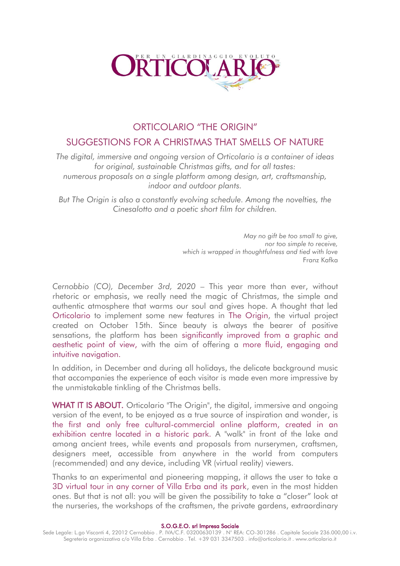

# ORTICOLARIO "THE ORIGIN"

# SUGGESTIONS FOR A CHRISTMAS THAT SMELLS OF NATURE

*The digital, immersive and ongoing version of Orticolario is a container of ideas for original, sustainable Christmas gifts, and for all tastes: numerous proposals on a single platform among design, art, craftsmanship, indoor and outdoor plants.*

*But The Origin is also a constantly evolving schedule. Among the novelties, the Cinesalotto and a poetic short film for children.*

> *May no gift be too small to give, nor too simple to receive, which is wrapped in thoughtfulness and tied with love* Franz Kafka

*Cernobbio (CO), December 3rd, 2020* – This year more than ever, without rhetoric or emphasis, we really need the magic of Christmas, the simple and authentic atmosphere that warms our soul and gives hope. A thought that led Orticolario to implement some new features in The Origin, the virtual project created on October 15th. Since beauty is always the bearer of positive sensations, the platform has been significantly improved from a graphic and aesthetic point of view, with the aim of offering a more fluid, engaging and intuitive navigation.

In addition, in December and during all holidays, the delicate background music that accompanies the experience of each visitor is made even more impressive by the unmistakable tinkling of the Christmas bells.

WHAT IT IS ABOUT. Orticolario "The Origin", the digital, immersive and ongoing version of the event, to be enjoyed as a true source of inspiration and wonder, is the first and only free cultural-commercial online platform, created in an exhibition centre located in a historic park. A "walk" in front of the lake and among ancient trees, while events and proposals from nurserymen, craftsmen, designers meet, accessible from anywhere in the world from computers (recommended) and any device, including VR (virtual reality) viewers.

Thanks to an experimental and pioneering mapping, it allows the user to take a 3D virtual tour in any corner of Villa Erba and its park, even in the most hidden ones. But that is not all: you will be given the possibility to take a "closer" look at the nurseries, the workshops of the craftsmen, the private gardens, extraordinary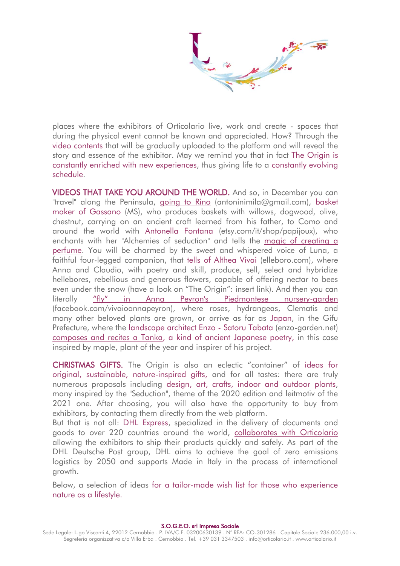places where the exhibitors of Orticolario live, work and create - spaces that during the physical event cannot be known and appreciated. How? Through the video contents that will be gradually uploaded to the platform and will reveal the story and essence of the exhibitor. May we remind you that in fact The Origin is constantly enriched with new experiences, thus giving life to a constantly evolving schedule.

VIDEOS THAT TAKE YOU AROUND THE WORLD. And so, in December you can "travel" along the Peninsula, [going to Rino](https://mpembed.com/show/?m=XBPXJex7ULX&mpu=650&=-2.62,.43&ss=470) (antoninimila@gmail.com), basket maker of Gassano (MS), who produces baskets with willows, dogwood, olive, chestnut, carrying on an ancient craft learned from his father, to Como and around the world with Antonella Fontana (etsy.com/it/shop/papijoux), who enchants with her "Alchemies of seduction" and tells the [magic of creating a](https://mpembed.com/show/?m=XBPXJex7ULX&mpu=650&=-2.2,1.14&ss=333)  [perfume.](https://mpembed.com/show/?m=XBPXJex7ULX&mpu=650&=-2.2,1.14&ss=333) You will be charmed by the sweet and whispered voice of Luna, a faithful four-legged companion, that [tells of Althea Vivai](https://mpembed.com/show/?m=XBPXJex7ULX&mpu=650&=-.19,.15&ss=195) (elleboro.com), where Anna and Claudio, with poetry and skill, produce, sell, select and hybridize hellebores, rebellious and generous flowers, capable of offering nectar to bees even under the snow (have a look on "The Origin": insert link). And then you can literally ["fly" in Anna Peyron's Piedmontese nursery](https://mpembed.com/show/?m=XBPXJex7ULX&mpu=650&=-.19,.15&ss=195)-garden (facebook.com/vivaioannapeyron), where roses, hydrangeas, Clematis and many other beloved plants are grown, or arrive as far as Japan, in the Gifu Prefecture, where the landscape architect Enzo - Satoru Tabata (enzo-garden.net) [composes and recites a Tanka,](https://mpembed.com/show/?m=XBPXJex7ULX&mpu=650&=-2.75,-.04&ss=316) a kind of ancient Japanese poetry, in this case inspired by maple, plant of the year and inspirer of his project.

CHRISTMAS GIFTS. The Origin is also an eclectic "container" of ideas for original, sustainable, nature-inspired gifts, and for all tastes: there are truly numerous proposals including design, art, crafts, indoor and outdoor plants, many inspired by the "Seduction", theme of the 2020 edition and leitmotiv of the 2021 one. After choosing, you will also have the opportunity to buy from exhibitors, by contacting them directly from the web platform.

But that is not all: DHL Express, specialized in the delivery of documents and goods to over 220 countries around the world, [collaborates with Orticolario](https://mpembed.com/show/?m=XBPXJex7ULX&mpu=650&=-2.62,.43&ss=470) allowing the exhibitors to ship their products quickly and safely. As part of the DHL Deutsche Post group, DHL aims to achieve the goal of zero emissions logistics by 2050 and supports Made in Italy in the process of international growth.

Below, a selection of ideas for a tailor-made wish list for those who experience nature as a lifestyle.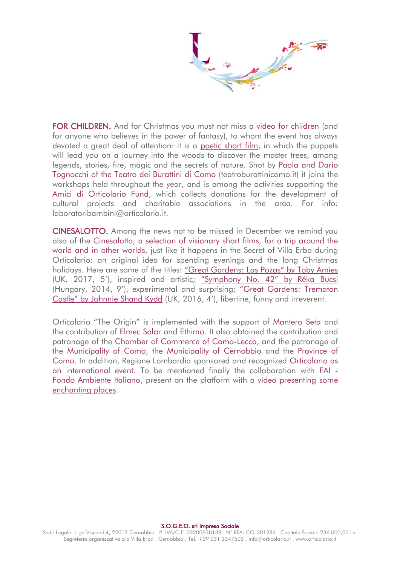FOR CHILDREN. And for Christmas you must not miss a video for children (and for anyone who believes in the power of fantasy), to whom the event has always devoted a great deal of attention: it is a [poetic short film,](https://mpembed.com/show/?m=XBPXJex7ULX&mpu=650&=-2.75,-.04&ss=316) in which the puppets will lead you on a journey into the woods to discover the master trees, among legends, stories, fire, magic and the secrets of nature. Shot by Paola and Dario Tognocchi of the Teatro dei Burattini di Como (teatroburattinicomo.it) it joins the workshops held throughout the year, and is among the activities supporting the Amici di Orticolario Fund, which collects donations for the development of cultural projects and charitable associations in the area. For info: laboratoribambini@orticolario.it.

CINESALOTTO. Among the news not to be missed in December we remind you also of the Cinesalotto, a selection of visionary short films, for a trip around the world and in other worlds, just like it happens in the Secret of Villa Erba during Orticolario: an original idea for spending evenings and the long Christmas holidays. Here are some of the titles: ["Great Gardens:](https://mpembed.com/show/?m=XBPXJex7ULX&mpu=650&=-2.66,-.39&ss=165) Las Pozas" by [Toby Amies](https://mpembed.com/show/?m=XBPXJex7ULX&mpu=650&=-2.66,-.39&ss=165) (UK, 2017, 5'), inspired and artistic; ["Symphony No.](https://mpembed.com/show/?m=XBPXJex7ULX&mpu=650&=-2.66,-.39&ss=164) 42" by [Réka Bucsi](https://mpembed.com/show/?m=XBPXJex7ULX&mpu=650&=-2.66,-.39&ss=164) (Hungary, 2014, 9'), experimental and surprising; ["Great Gardens:](https://mpembed.com/show/?m=XBPXJex7ULX&mpu=650&=-2.66,-.39&ss=164) [Trematon](https://mpembed.com/show/?m=XBPXJex7ULX&mpu=650&=-2.66,-.39&ss=164)  Castle" by [Johnnie Shand Kydd](https://mpembed.com/show/?m=XBPXJex7ULX&mpu=650&=-2.66,-.39&ss=164) (UK, 2016, 4'), libertine, funny and irreverent.

Orticolario "The Origin" is implemented with the support of Mantero Seta and the contribution of Elmec Solar and Ethimo. It also obtained the contribution and patronage of the Chamber of Commerce of Como-Lecco, and the patronage of the Municipality of Como, the Municipality of Cernobbio and the Province of Como. In addition, Regione Lombardia sponsored and recognized Orticolario as an international event. To be mentioned finally the collaboration with FAI - Fondo Ambiente Italiano, present on the platform with a [video presenting some](https://mpembed.com/show/?m=XBPXJex7ULX&mpu=650&=-1.51,1.05&ss=295)  [enchanting places.](https://mpembed.com/show/?m=XBPXJex7ULX&mpu=650&=-1.51,1.05&ss=295)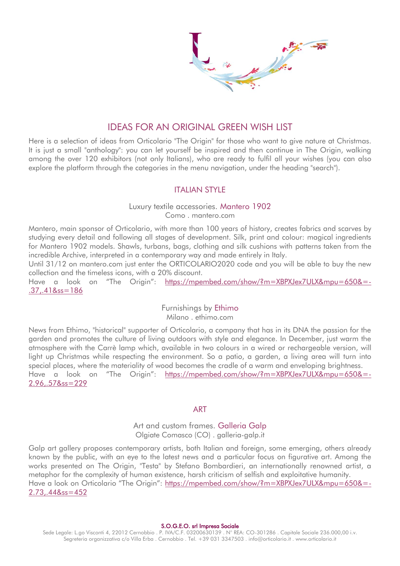## IDEAS FOR AN ORIGINAL GREEN WISH LIST

Here is a selection of ideas from Orticolario "The Origin" for those who want to give nature at Christmas. It is just a small "anthology": you can let yourself be inspired and then continue in The Origin, walking among the over 120 exhibitors (not only Italians), who are ready to fulfil all your wishes (you can also explore the platform through the categories in the menu navigation, under the heading "search").

## ITALIAN STYLE

# Luxury textile accessories. Mantero 1902

Como . mantero.com

Mantero, main sponsor of Orticolario, with more than 100 years of history, creates fabrics and scarves by studying every detail and following all stages of development. Silk, print and colour: magical ingredients for Mantero 1902 models. Shawls, turbans, bags, clothing and silk cushions with patterns taken from the incredible Archive, interpreted in a contemporary way and made entirely in Italy.

Until 31/12 on mantero.com just enter the ORTICOLARIO2020 code and you will be able to buy the new collection and the timeless icons, with a 20% discount.

Have a look on "The Origin": [https://mpembed.com/show/?m=XBPXJex7ULX&mpu=650&=-](https://mpembed.com/show/?m=XBPXJex7ULX&mpu=650&=-.37,.41&ss=186) [.37,.41&ss=186](https://mpembed.com/show/?m=XBPXJex7ULX&mpu=650&=-.37,.41&ss=186)

> Furnishings by Ethimo Milano . ethimo.com

News from Ethimo, "historical" supporter of Orticolario, a company that has in its DNA the passion for the garden and promotes the culture of living outdoors with style and elegance. In December, just warm the atmosphere with the Carrè lamp which, available in two colours in a wired or rechargeable version, will light up Christmas while respecting the environment. So a patio, a garden, a living area will turn into special places, where the materiality of wood becomes the cradle of a warm and enveloping brightness. Have a look on "The Origin": [https://mpembed.com/show/?m=XBPXJex7ULX&mpu=650&=-](https://mpembed.com/show/?m=XBPXJex7ULX&mpu=650&=-2.96,.57&ss=229) [2.96,.57&ss=229](https://mpembed.com/show/?m=XBPXJex7ULX&mpu=650&=-2.96,.57&ss=229)

## ART

## Art and custom frames. Galleria Galp Olgiate Comasco (CO) . galleria-galp.it

Galp art gallery proposes contemporary artists, both Italian and foreign, some emerging, others already known by the public, with an eye to the latest news and a particular focus on figurative art. Among the works presented on The Origin, "Testa" by Stefano Bombardieri, an internationally renowned artist, a metaphor for the complexity of human existence, harsh criticism of selfish and exploitative humanity. Have a look on Orticolario "The Origin": [https://mpembed.com/show/?m=XBPXJex7ULX&mpu=650&=-](https://mpembed.com/show/?m=XBPXJex7ULX&mpu=650&=-2.73,.44&ss=452) [2.73,.44&ss=452](https://mpembed.com/show/?m=XBPXJex7ULX&mpu=650&=-2.73,.44&ss=452)

#### S.O.G.E.O. srl Impresa Sociale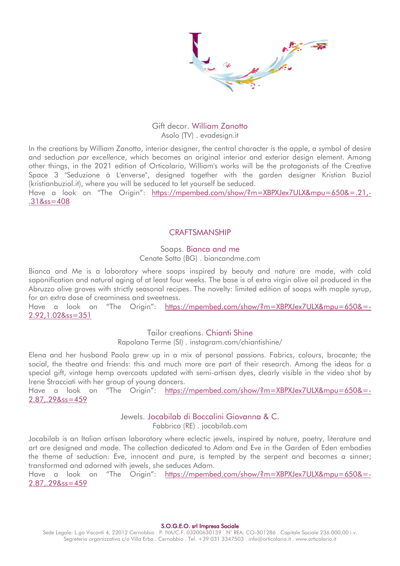

#### Gift decor. William Zanotto Asolo (TV) . evadesign.it

In the creations by William Zanotto, interior designer, the central character is the apple, a symbol of desire and seduction *par excellence*, which becomes an original interior and exterior design element. Among other things, in the 2021 edition of Orticolario, William's works will be the protagonists of the Creative Space 3 "Seduzione à L'enverse", designed together with the garden designer Kristian Buziol (kristianbuziol.it), where you will be seduced to let yourself be seduced.

Have a look on "The Origin": [https://mpembed.com/show/?m=XBPXJex7ULX&mpu=650&=.21,-](https://mpembed.com/show/?m=XBPXJex7ULX&mpu=650&=.21,-.31&ss=408) [.31&ss=408](https://mpembed.com/show/?m=XBPXJex7ULX&mpu=650&=.21,-.31&ss=408)

## **CRAFTSMANSHIP**

#### Soaps. Bianca and me

Cenate Sotto (BG) . biancandme.com

Bianca and Me is a laboratory where soaps inspired by beauty and nature are made, with cold saponification and natural aging of at least four weeks. The base is of extra virgin olive oil produced in the Abruzzo olive groves with strictly seasonal recipes. The novelty: limited edition of soaps with maple syrup, for an extra dose of creaminess and sweetness.

Have a look on "The Origin": [https://mpembed.com/show/?m=XBPXJex7ULX&mpu=650&=-](https://mpembed.com/show/?m=XBPXJex7ULX&mpu=650&=-2.92,1.02&ss=351) [2.92,1.02&ss=351](https://mpembed.com/show/?m=XBPXJex7ULX&mpu=650&=-2.92,1.02&ss=351)

Tailor creations. Chianti Shine

Rapolano Terme (SI) . instagram.com/chiantishine/

Elena and her husband Paolo grew up in a mix of personal passions. Fabrics, colours, brocante; the social, the theatre and friends: this and much more are part of their research. Among the ideas for a special gift, vintage hemp overcoats updated with semi-artisan dyes, clearly visible in the video shot by Irene Stracciati with her group of young dancers.

Have a look on "The Origin": [https://mpembed.com/show/?m=XBPXJex7ULX&mpu=650&=-](https://mpembed.com/show/?m=XBPXJex7ULX&mpu=650&=-2.87,.29&ss=459) [2.87,.29&ss=459](https://mpembed.com/show/?m=XBPXJex7ULX&mpu=650&=-2.87,.29&ss=459)

#### Jewels. Jocabilab di Boccalini Giovanna & C.

Fabbrico (RE) . jocabilab.com

Jocabilab is an Italian artisan laboratory where eclectic jewels, inspired by nature, poetry, literature and art are designed and made. The collection dedicated to Adam and Eve in the Garden of Eden embodies the theme of seduction: Eve, innocent and pure, is tempted by the serpent and becomes a sinner; transformed and adorned with jewels, she seduces Adam.

Have a look on "The Origin": [https://mpembed.com/show/?m=XBPXJex7ULX&mpu=650&=-](https://mpembed.com/show/?m=XBPXJex7ULX&mpu=650&=-2.87,.29&ss=459) [2.87,.29&ss=459](https://mpembed.com/show/?m=XBPXJex7ULX&mpu=650&=-2.87,.29&ss=459)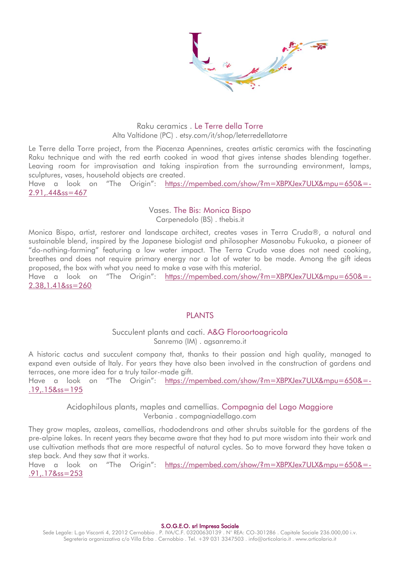

#### Raku ceramics . Le Terre della Torre Alta Valtidone (PC) . etsy.com/it/shop/leterredellatorre

Le Terre della Torre project, from the Piacenza Apennines, creates artistic ceramics with the fascinating Raku technique and with the red earth cooked in wood that gives intense shades blending together. Leaving room for improvisation and taking inspiration from the surrounding environment, lamps, sculptures, vases, household objects are created.

Have a look on "The Origin": [https://mpembed.com/show/?m=XBPXJex7ULX&mpu=650&=-](https://mpembed.com/show/?m=XBPXJex7ULX&mpu=650&=-2.91,.44&ss=467) [2.91,.44&ss=467](https://mpembed.com/show/?m=XBPXJex7ULX&mpu=650&=-2.91,.44&ss=467)

## Vases. The Bis: Monica Bispo

Carpenedolo (BS) . thebis.it

Monica Bispo, artist, restorer and landscape architect, creates vases in Terra Cruda®, a natural and sustainable blend, inspired by the Japanese biologist and philosopher Masanobu Fukuoka, a pioneer of "do-nothing-farming" featuring a low water impact. The Terra Cruda vase does not need cooking, breathes and does not require primary energy nor a lot of water to be made. Among the gift ideas proposed, the box with what you need to make a vase with this material.

Have a look on "The Origin": [https://mpembed.com/show/?m=XBPXJex7ULX&mpu=650&=-](https://mpembed.com/show/?m=XBPXJex7ULX&mpu=650&=-2.38,1.41&ss=260) [2.38,1.41&ss=260](https://mpembed.com/show/?m=XBPXJex7ULX&mpu=650&=-2.38,1.41&ss=260)

#### PLANTS

#### Succulent plants and cacti. A&G Floroortoagricola Sanremo (IM) . agsanremo.it

A historic cactus and succulent company that, thanks to their passion and high quality, managed to expand even outside of Italy. For years they have also been involved in the construction of gardens and terraces, one more idea for a truly tailor-made gift.

Have a look on "The Origin": [https://mpembed.com/show/?m=XBPXJex7ULX&mpu=650&=-](https://mpembed.com/show/?m=XBPXJex7ULX&mpu=650&=-.19,.15&ss=195) [.19,.15&ss=195](https://mpembed.com/show/?m=XBPXJex7ULX&mpu=650&=-.19,.15&ss=195)

> Acidophilous plants, maples and camellias. Compagnia del Lago Maggiore Verbania . compagniadellago.com

They grow maples, azaleas, camellias, rhododendrons and other shrubs suitable for the gardens of the pre-alpine lakes. In recent years they became aware that they had to put more wisdom into their work and use cultivation methods that are more respectful of natural cycles. So to move forward they have taken a step back. And they saw that it works.

Have a look on "The Origin": [https://mpembed.com/show/?m=XBPXJex7ULX&mpu=650&=-](https://mpembed.com/show/?m=XBPXJex7ULX&mpu=650&=-.91,.17&ss=253) [.91,.17&ss=253](https://mpembed.com/show/?m=XBPXJex7ULX&mpu=650&=-.91,.17&ss=253)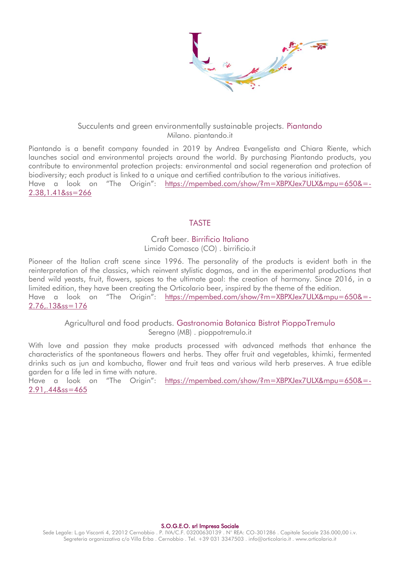

#### Succulents and green environmentally sustainable projects. Piantando Milano. piantando.it

Piantando is a benefit company founded in 2019 by Andrea Evangelista and Chiara Riente, which launches social and environmental projects around the world. By purchasing Piantando products, you contribute to environmental protection projects: environmental and social regeneration and protection of biodiversity; each product is linked to a unique and certified contribution to the various initiatives. Have a look on "The Origin": [https://mpembed.com/show/?m=XBPXJex7ULX&mpu=650&=-](https://mpembed.com/show/?m=XBPXJex7ULX&mpu=650&=-2.38,1.41&ss=266) [2.38,1.41&ss=266](https://mpembed.com/show/?m=XBPXJex7ULX&mpu=650&=-2.38,1.41&ss=266)

## TASTE

#### Craft beer. Birrificio Italiano Limido Comasco (CO) . birrificio.it

Pioneer of the Italian craft scene since 1996. The personality of the products is evident both in the reinterpretation of the classics, which reinvent stylistic dogmas, and in the experimental productions that bend wild yeasts, fruit, flowers, spices to the ultimate goal: the creation of harmony. Since 2016, in a limited edition, they have been creating the Orticolario beer, inspired by the theme of the edition. Have a look on "The Origin": [https://mpembed.com/show/?m=XBPXJex7ULX&mpu=650&=-](https://mpembed.com/show/?m=XBPXJex7ULX&mpu=650&=-2.76,.13&ss=176) [2.76,.13&ss=176](https://mpembed.com/show/?m=XBPXJex7ULX&mpu=650&=-2.76,.13&ss=176)

> Agricultural and food products. Gastronomia Botanica Bistrot PioppoTremulo Seregno (MB) . pioppotremulo.it

With love and passion they make products processed with advanced methods that enhance the characteristics of the spontaneous flowers and herbs. They offer fruit and vegetables, khimki, fermented drinks such as jun and kombucha, flower and fruit teas and various wild herb preserves. A true edible garden for a life led in time with nature.

Have a look on "The Origin": [https://mpembed.com/show/?m=XBPXJex7ULX&mpu=650&=-](https://mpembed.com/show/?m=XBPXJex7ULX&mpu=650&=-2.91,.44&ss=465) [2.91,.44&ss=465](https://mpembed.com/show/?m=XBPXJex7ULX&mpu=650&=-2.91,.44&ss=465)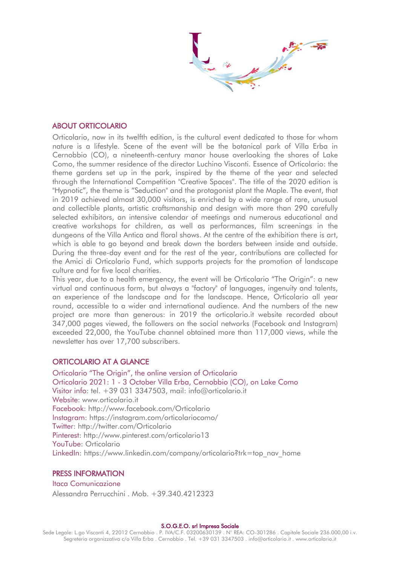#### ABOUT ORTICOLARIO

Orticolario, now in its twelfth edition, is the cultural event dedicated to those for whom nature is a lifestyle. Scene of the event will be the botanical park of Villa Erba in Cernobbio (CO), a nineteenth-century manor house overlooking the shores of Lake Como, the summer residence of the director Luchino Visconti. Essence of Orticolario: the theme gardens set up in the park, inspired by the theme of the year and selected through the International Competition "Creative Spaces". The title of the 2020 edition is "Hypnotic", the theme is "Seduction" and the protagonist plant the Maple. The event, that in 2019 achieved almost 30,000 visitors, is enriched by a wide range of rare, unusual and collectible plants, artistic craftsmanship and design with more than 290 carefully selected exhibitors, an intensive calendar of meetings and numerous educational and creative workshops for children, as well as performances, film screenings in the dungeons of the Villa Antica and floral shows. At the centre of the exhibition there is art, which is able to go beyond and break down the borders between inside and outside. During the three-day event and for the rest of the year, contributions are collected for the Amici di Orticolario Fund, which supports projects for the promotion of landscape culture and for five local charities.

This year, due to a health emergency, the event will be Orticolario "The Origin": a new virtual and continuous form, but always a "factory" of languages, ingenuity and talents, an experience of the landscape and for the landscape. Hence, Orticolario all year round, accessible to a wider and international audience. And the numbers of the new project are more than generous: in 2019 the orticolario.it website recorded about 347,000 pages viewed, the followers on the social networks (Facebook and Instagram) exceeded 22,000, the YouTube channel obtained more than 117,000 views, while the newsletter has over 17,700 subscribers.

#### ORTICOLARIO AT A GLANCE

Orticolario "The Origin", the online version of Orticolario Orticolario 2021: 1 - 3 October Villa Erba, Cernobbio (CO), on Lake Como Visitor info: tel. +39 031 3347503, mail: info@orticolario.it Website: www.orticolario.it Facebook: http://www.facebook.com/Orticolario Instagram: https://instagram.com/orticolariocomo/ Twitter: http://twitter.com/Orticolario Pinterest: http://www.pinterest.com/orticolario13 YouTube: Orticolario LinkedIn: https://www.linkedin.com/company/orticolario?trk=top\_nav\_home

#### PRESS INFORMATION

Itaca Comunicazione Alessandra Perrucchini . Mob. +39.340.4212323

#### S.O.G.E.O. srl Impresa Sociale